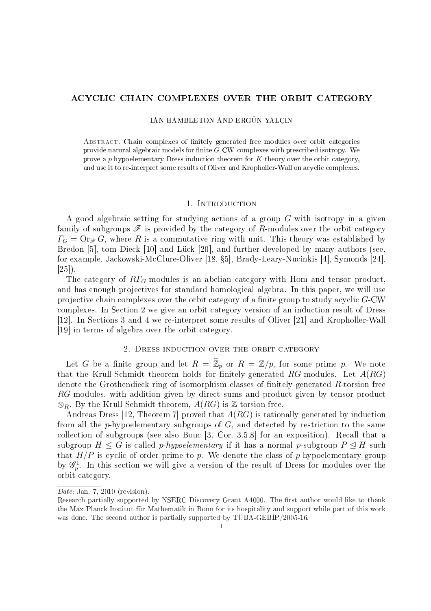## ACYCLIC CHAIN COMPLEXES OVER THE ORBIT CATEGORY

## IAN HAMBLETON AND ERGÜN YALÇIN

Abstract. Chain complexes of nitely generated free modules over orbit categories provide natural algebraic models for finite  $G$ -CW-complexes with prescribed isotropy. We prove a p-hypoelementary Dress induction theorem for  $K$ -theory over the orbit category, and use it to re-interpret some results of Oliver and Kropholler-Wall on acyclic complexes.

#### 1. INTRODUCTION

A good algebraic setting for studying actions of a group G with isotropy in a given family of subgroups  $\mathscr F$  is provided by the category of R-modules over the orbit category  $\Gamma_G = \text{Or}_{\mathscr{F}} G$ , where R is a commutative ring with unit. This theory was established by Bredon [5], tom Dieck [10] and Lück [20], and further developed by many authors (see, for example, Jackowski-McClure-Oliver [18, 5], Brady-Leary-Nucinkis [4], Symonds [24], [25]).

The category of  $R\Gamma$ <sub>G</sub>-modules is an abelian category with Hom and tensor product, and has enough projectives for standard homological algebra. In this paper, we will use projective chain complexes over the orbit category of a finite group to study acyclic  $G$ -CW complexes. In Section 2 we give an orbit category version of an induction result of Dress [12]. In Sections 3 and 4 we re-interpret some results of Oliver [21] and Kropholler-Wall [19] in terms of algebra over the orbit category.

## 2. Dress induction over the orbit category

Let G be a finite group and let  $R = \widehat{\mathbb{Z}}_p$  or  $R = \mathbb{Z}/p$ , for some prime p. We note that the Krull-Schmidt theorem holds for finitely-generated  $RG$ -modules. Let  $A(RG)$ denote the Grothendieck ring of isomorphism classes of finitely-generated  $R$ -torsion free RG-modules, with addition given by direct sums and product given by tensor product  $\otimes_R$ . By the Krull-Schmidt theorem,  $A(RG)$  is  $\mathbb{Z}$ -torsion free.

Andreas Dress [12, Theorem 7] proved that  $A(RG)$  is rationally generated by induction from all the p-hypoelementary subgroups of  $G$ , and detected by restriction to the same collection of subgroups (see also Bouc [3, Cor. 3.5.8] for an exposition). Recall that a subgroup  $H \leq G$  is called *p-hypoelementary* if it has a normal *p*-subgroup  $P \leq H$  such that  $H/P$  is cyclic of order prime to p. We denote the class of p-hypoelementary group by  $\mathscr{G}_p^1$ . In this section we will give a version of the result of Dress for modules over the orbit category.

Date: Jan. 7, 2010 (revision).

Research partially supported by NSERC Discovery Grant A4000. The first author would like to thank the Max Planck Institut für Mathematik in Bonn for its hospitality and support while part of this work was done. The second author is partially supported by  $\overline{\text{UBA-GEBIP}}/2005-16$ .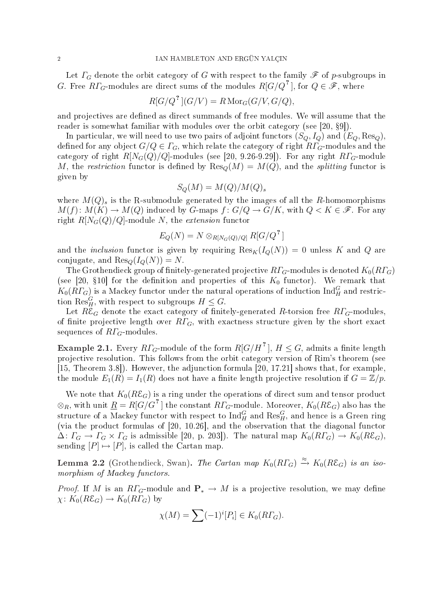Let  $\Gamma_G$  denote the orbit category of G with respect to the family  $\mathscr F$  of p-subgroups in G. Free  $R\varGamma_G\text{-modules}$  are direct sums of the modules  $R[G/Q^{\text{-}r}]$ , for  $Q\in\mathscr{F},$  where

$$
R[G/Q^?](G/V) = R \operatorname{Mor}_G(G/V, G/Q),
$$

and projectives are defined as direct summands of free modules. We will assume that the reader is somewhat familiar with modules over the orbit category (see  $[20, §9]$ ).

In particular, we will need to use two pairs of adjoint functors  $(S_Q, I_Q)$  and  $(E_Q, Res_Q)$ , defined for any object  $G/Q \in \Gamma_G$ , which relate the category of right  $R\Gamma_G$ -modules and the category of right  $R[N_G(Q)/Q]$ -modules (see [20, 9.26-9.29]). For any right  $R\Gamma_G$ -module M, the restriction functor is defined by  $\text{Res}_{Q}(M) = M(Q)$ , and the splitting functor is given by

$$
S_Q(M) = M(Q)/M(Q)_s
$$

where  $M(Q)$ <sub>s</sub> is the R-submodule generated by the images of all the R-homomorphisms  $M(f): M(K) \to M(Q)$  induced by G-maps  $f: G/Q \to G/K$ , with  $Q \lt K \in \mathscr{F}$ . For any right  $R[N_G(Q)/Q]$ -module N, the extension functor

$$
E_Q(N) = N \otimes_{R[N_G(Q)/Q]} R[G/Q^2]
$$

and the *inclusion* functor is given by requiring  $\text{Res}_{K}(I_{Q}(N)) = 0$  unless K and Q are conjugate, and  $\text{Res}_{\mathcal{Q}}(I_{\mathcal{Q}}(N)) = N$ .

The Grothendieck group of finitely-generated projective  $RT_G$ -modules is denoted  $K_0(R\Gamma_G)$ (see [20, §10] for the definition and properties of this  $K_0$  functor). We remark that  $K_0(R\varGamma_G)$  is a Mackey functor under the natural operations of induction  ${\rm Ind}^G_H$  and restriction  $\text{Res}_{H}^{G}$ , with respect to subgroups  $H \leq G$ .

Let  $R\mathcal{E}_G$  denote the exact category of finitely-generated R-torsion free  $R\Gamma_G$ -modules, of finite projective length over  $RT_G$ , with exactness structure given by the short exact sequences of  $R\Gamma$ <sub>G</sub>-modules.

**Example 2.1.** Every  $R\mathit{\Gamma}_G\text{-module of the form } R[G/H^{\text{-}1}],\, H\leq G,$  admits a finite length projective resolution. This follows from the orbit category version of Rim's theorem (see [15, Theorem 3.8]). However, the adjunction formula [20, 17.21] shows that, for example, the module  $E_1(R) = I_1(R)$  does not have a finite length projective resolution if  $G = \mathbb{Z}/p$ .

We note that  $K_0(R\mathcal{E}_G)$  is a ring under the operations of direct sum and tensor product  $\otimes_R$ , with unit  $\underline{R} = R[G/G^{\,2}]$  the constant  $R\varGamma_G\text{-module. Moreover, }K_0(R\mathcal{E}_G)$  also has the structure of a Mackey functor with respect to  $\mathrm{Ind}_H^G$  and  $\mathrm{Res}_H^G,$  and hence is a Green ring (via the product formulas of [20, 10.26], and the observation that the diagonal functor  $\Delta\colon \Gamma_G \to \Gamma_G \times \Gamma_G$  is admissible [20, p. 203]). The natural map  $K_0(R\Gamma_G) \to K_0(R\mathcal{E}_G)$ , sending  $[P] \mapsto [P]$ , is called the Cartan map.

**Lemma 2.2** (Grothendieck, Swan). The Cartan map  $K_0(R\Gamma_G) \xrightarrow{\approx} K_0(R\mathcal{E}_G)$  is an isomorphism of Mackey functors.

*Proof.* If M is an  $R\Gamma_G$ -module and  $\mathbf{P}_* \to M$  is a projective resolution, we may define  $\chi: K_0(R\mathcal{E}_G) \to K_0(R\Gamma_G)$  by

$$
\chi(M) = \sum (-1)^{i} [P_i] \in K_0(R\Gamma_G).
$$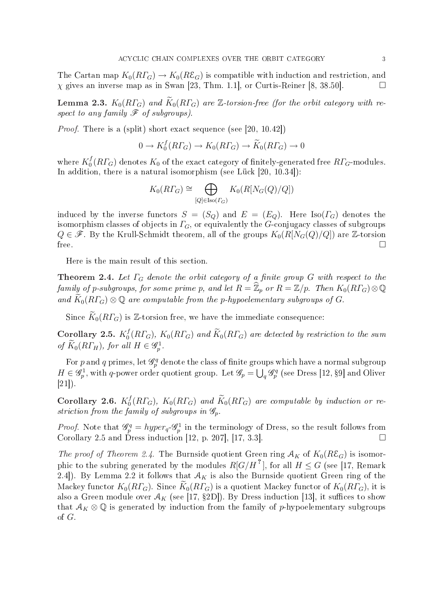The Cartan map  $K_0(R\Gamma_G) \to K_0(R\mathcal{E}_G)$  is compatible with induction and restriction, and  $\chi$  gives an inverse map as in Swan [23, Thm. 1.1], or Curtis-Reiner [8, 38.50].

**Lemma 2.3.**  $K_0(R\Gamma_G)$  and  $\widetilde{K}_0(R\Gamma_G)$  are Z-torsion-free (for the orbit category with respect to any family  $\mathscr F$  of subgroups).

Proof. There is a (split) short exact sequence (see [20, 10.42])

$$
0 \to K_0^f(R\Gamma_G) \to K_0(R\Gamma_G) \to \widetilde{K}_0(R\Gamma_G) \to 0
$$

where  $K_0^f$  $\int_0^f(R\Gamma_G)$  denotes  $K_0$  of the exact category of finitely-generated free  $R\Gamma_G$ -modules. In addition, there is a natural isomorphism (see Lück [20, 10.34]):

$$
K_0(R\Gamma_G) \cong \bigoplus_{[Q]\in \text{Iso}(\Gamma_G)} K_0(R[N_G(Q)/Q])
$$

induced by the inverse functors  $S = (S_Q)$  and  $E = (E_Q)$ . Here Iso( $\Gamma_G$ ) denotes the isomorphism classes of objects in  $\Gamma$ <sub>G</sub>, or equivalently the G-conjugacy classes of subgroups  $Q \in \mathscr{F}$ . By the Krull-Schmidt theorem, all of the groups  $K_0(R[N_G(Q)/Q])$  are Z-torsion free.  $\Box$ 

Here is the main result of this section.

**Theorem 2.4.** Let  $\Gamma_G$  denote the orbit category of a finite group  $G$  with respect to the family of p-subgroups, for some prime p, and let  $R = \widehat{\mathbb{Z}}_p$  or  $R = \mathbb{Z}/p$ . Then  $K_0(R\varGamma_G)\otimes\mathbb{Q}$ and  $\widetilde{K}_0(R\Gamma_G) \otimes \mathbb{Q}$  are computable from the p-hypoelementary subgroups of G.

Since  $\widetilde{K}_0(R\Gamma_G)$  is Z-torsion free, we have the immediate consequence:

Corollary 2.5.  $K_0^f$  $\tilde{C}_0^f(R\varGamma_G),\ K_0(R\varGamma_G)$  and  $\widetilde{K}_0(R\varGamma_G)$  are detected by restriction to the sum of  $\widetilde{K}_0(R\Gamma_H)$ , for all  $H \in \mathscr{G}_p^1$ .

For p and q primes, let  $\mathcal{G}_p^q$  denote the class of finite groups which have a normal subgroup  $H \in \mathscr{G}_p^1$ , with q-power order quotient group. Let  $\mathscr{G}_p = \bigcup_q \mathscr{G}_p^q$  (see Dress [12, §9] and Oliver [21]).

Corollary 2.6.  $K_0^f$  $\int_0^f(R\Gamma_G),\ K_0(R\Gamma_G)\$  and  $\widetilde K_0(R\Gamma_G)$  are computable by induction or restriction from the family of subgroups in  $\mathscr{G}_p$ .

*Proof.* Note that  $\mathscr{G}_p^q = hyper_q \mathscr{G}_p^1$  in the terminology of Dress, so the result follows from Corollary 2.5 and Dress induction [12, p. 207], [17, 3.3].  $\Box$ 

The proof of Theorem 2.4. The Burnside quotient Green ring  $A_K$  of  $K_0(R\mathcal{E}_G)$  is isomorphic to the subring generated by the modules  $R[G/H^{\,2}\,],$  for all  $H\leq G$  (see [17, Remark 2.4]). By Lemma 2.2 it follows that  $A_K$  is also the Burnside quotient Green ring of the Mackey functor  $K_0(R\Gamma_G)$ . Since  $K_0(R\Gamma_G)$  is a quotient Mackey functor of  $K_0(R\Gamma_G)$ , it is also a Green module over  $A_K$  (see [17, §2D]). By Dress induction [13], it suffices to show that  $\mathcal{A}_K \otimes \mathbb{Q}$  is generated by induction from the family of p-hypoelementary subgroups of G.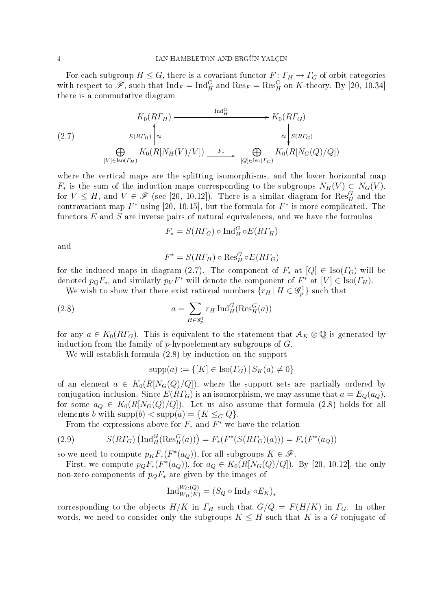For each subgroup  $H \leq G$ , there is a covariant functor  $F: \Gamma_H \to \Gamma_G$  of orbit categories with respect to  $\mathscr{F}$ , such that  $\text{Ind}_F = \text{Ind}_H^G$  and  $\text{Res}_F = \text{Res}_H^G$  on K-theory. By [20, 10.34] there is a commutative diagram

$$
(2.7) \t K_0(R\Gamma_H) \xrightarrow{\operatorname{Ind}_H^G} K_0(R\Gamma_G)
$$
  
\n
$$
\bigoplus_{[V] \in \operatorname{Iso}(F_H)} K_0(R[N_H(V)/V]) \xrightarrow{F_*} \bigoplus_{[Q] \in \operatorname{Iso}(F_G)} K_0(R[N_G(Q)/Q])
$$

where the vertical maps are the splitting isomorphisms, and the lower horizontal map  $F_*$  is the sum of the induction maps corresponding to the subgroups  $N_H(V) \subset N_G(V)$ , for  $V \leq H$ , and  $V \in \mathscr{F}$  (see [20, 10.12]). There is a similar diagram for  $\text{Res}_{H}^{G}$  and the contravariant map  $F^*$  using [20, 10.15], but the formula for  $F^*$  is more complicated. The functors  $E$  and  $S$  are inverse pairs of natural equivalences, and we have the formulas

$$
F_* = S(R\Gamma_G) \circ \text{Ind}_H^G \circ E(R\Gamma_H)
$$

and

$$
F^* = S(R\varGamma_H) \circ \mathrm{Res}^G_H \circ E(R\varGamma_G)
$$

for the induced maps in diagram (2.7). The component of  $F_*$  at  $[Q] \in \text{Iso}(\Gamma_G)$  will be denoted  $p_Q F_*$ , and similarly  $p_V F^*$  will denote the component of  $F^*$  at  $[V] \in \text{Iso}(\Gamma_H)$ .

We wish to show that there exist rational numbers  ${r_H | H \in \mathscr{G}_p^1}$  such that

(2.8) 
$$
a = \sum_{H \in \mathscr{G}_p^1} r_H \operatorname{Ind}_H^G(\operatorname{Res}_H^G(a))
$$

for any  $a \in K_0(R\Gamma_G)$ . This is equivalent to the statement that  $\mathcal{A}_K \otimes \mathbb{Q}$  is generated by induction from the family of  $p$ -hypoelementary subgroups of  $G$ .

We will establish formula (2.8) by induction on the support

$$
supp(a) := \{ [K] \in Iso(\Gamma_G) | S_K(a) \neq 0 \}
$$

of an element  $a \in K_0(R[N_G(Q)/Q])$ , where the support sets are partially ordered by conjugation-inclusion. Since  $E(R\Gamma_G)$  is an isomorphism, we may assume that  $a = E_Q(a_Q)$ , for some  $a_Q \in K_0(R[N_G(Q)/Q])$ . Let us also assume that formula (2.8) holds for all elements b with supp $(b) < supp(a) = \{K \leq_G Q\}.$ 

From the expressions above for  $F_*$  and  $F^*$  we have the relation

(2.9) 
$$
S(R\Gamma_G) \left( \text{Ind}_{H}^{G}(\text{Res}_{H}^{G}(a)) \right) = F_*(F^*(S(R\Gamma_G)(a))) = F_*(F^*(a_Q))
$$

so we need to compute  $p_K F_*(F^*(a_Q))$ , for all subgroups  $K \in \mathscr{F}$ .

First, we compute  $p_Q F_*(F^*(a_Q))$ , for  $a_Q \in K_0(R[N_G(Q)/Q])$ . By [20, 10.12], the only non-zero components of  $p_QF_*$  are given by the images of

$$
\mathrm{Ind}_{W_H(K)}^{W_G(Q)} = (S_Q \circ \mathrm{Ind}_F \circ E_K)_*
$$

corresponding to the objects  $H/K$  in  $\Gamma_H$  such that  $G/Q = F(H/K)$  in  $\Gamma_G$ . In other words, we need to consider only the subgroups  $K \leq H$  such that K is a G-conjugate of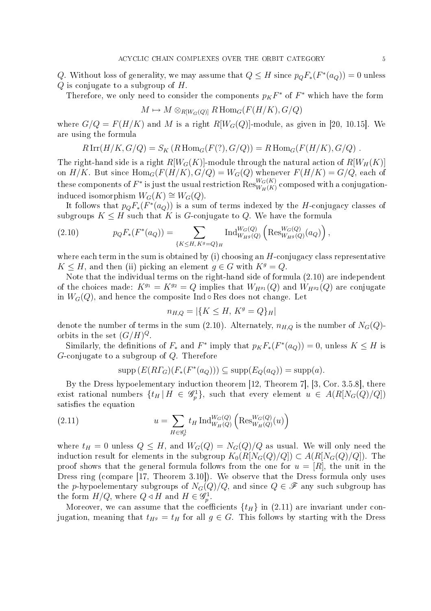Q. Without loss of generality, we may assume that  $Q \leq H$  since  $p_Q F_*(F^*(a_Q)) = 0$  unless  $Q$  is conjugate to a subgroup of  $H$ .

Therefore, we only need to consider the components  $p_K F^*$  of  $F^*$  which have the form

$$
M \mapsto M \otimes_{R[W_G(Q)]} R \operatorname{Hom}_G(F(H/K), G/Q)
$$

where  $G/Q = F(H/K)$  and M is a right  $R[W_G(Q)]$ -module, as given in [20, 10.15]. We are using the formula

$$
R\operatorname{Irr}(H/K, G/Q) = S_K(R\operatorname{Hom}_G(F(?), G/Q)) = R\operatorname{Hom}_G(F(H/K), G/Q) .
$$

The right-hand side is a right  $R[W_G(K)]$ -module through the natural action of  $R[W_H(K)]$ on  $H/K$ . But since  $\text{Hom}_G(F(H/K), G/Q) = W_G(Q)$  whenever  $F(H/K) = G/Q$ , each of these components of  $F^\ast$  is just the usual restriction  ${\rm Res}^{W_G(K)}_{W_H(K)}$  composed with a conjugationinduced isomorphism  $W_G(K) \cong W_G(Q)$ .

It follows that  $p_Q F_*(F^*(a_Q))$  is a sum of terms indexed by the H-conjugacy classes of subgroups  $K \leq H$  such that K is G-conjugate to Q. We have the formula 。<br>´

(2.10) 
$$
p_Q F_*(F^*(a_Q)) = \sum_{\{K \leq H, K^g = Q\}_H} \text{Ind}_{W_{H^g}(Q)}^{W_G(Q)} \left( \text{Res}_{W_{H^g}(Q)}^{W_G(Q)}(a_Q) \right),
$$

where each term in the sum is obtained by (i) choosing an  $H$ -conjugacy class representative  $K \leq H$ , and then (ii) picking an element  $g \in G$  with  $K^g = Q$ .

Note that the individual terms on the right-hand side of formula (2.10) are independent of the choices made:  $K^{g_1} = K^{g_2} = Q$  implies that  $W_{H^{g_1}}(Q)$  and  $W_{H^{g_2}}(Q)$  are conjugate in  $W_G(Q)$ , and hence the composite Ind  $\circ$  Res does not change. Let

$$
n_{H,Q} = |\{K \le H, \, K^g = Q\}_H|
$$

denote the number of terms in the sum (2.10). Alternately,  $n_{H,Q}$  is the number of  $N_G(Q)$ orbits in the set  $(G/H)^Q$ .

Similarly, the definitions of  $F_*$  and  $F^*$  imply that  $p_K F_*(F^*(a_Q)) = 0$ , unless  $K \leq H$  is G-conjugate to a subgroup of Q. Therefore

$$
\operatorname{supp} \left( E(R\Gamma_G)(F_*(F^*(a_Q))) \subseteq \operatorname{supp}(E_Q(a_Q)) = \operatorname{supp}(a) \right).
$$

By the Dress hypoelementary induction theorem [12, Theorem 7], [3, Cor. 3.5.8], there exist rational numbers  $\{t_H | H \in \mathscr{G}_p^1\}$ , such that every element  $u \in A(R[N_G(Q)/Q])$ satisfies the equation ´

(2.11) 
$$
u = \sum_{H \in \mathscr{G}_{p}^{1}} t_{H} \operatorname{Ind}_{W_{H}(Q)}^{W_{G}(Q)} \left( \operatorname{Res}_{W_{H}(Q)}^{W_{G}(Q)}(u) \right)
$$

where  $t_H = 0$  unless  $Q \leq H$ , and  $W_G(Q) = N_G(Q)/Q$  as usual. We will only need the induction result for elements in the subgroup  $K_0(R[N_G(Q)/Q]) \subset A(R[N_G(Q)/Q])$ . The proof shows that the general formula follows from the one for  $u = [R]$ , the unit in the Dress ring (compare [17, Theorem 3.10]). We observe that the Dress formula only uses the p-hypoelementary subgroups of  $N_G(Q)/Q$ , and since  $Q \in \mathscr{F}$  any such subgroup has the form  $H/Q$ , where  $Q \triangleleft H$  and  $H \in \mathscr{G}_p^1$ .

Moreover, we can assume that the coefficients  $\{t_H\}$  in (2.11) are invariant under conjugation, meaning that  $t_{H} = t_H$  for all  $g \in G$ . This follows by starting with the Dress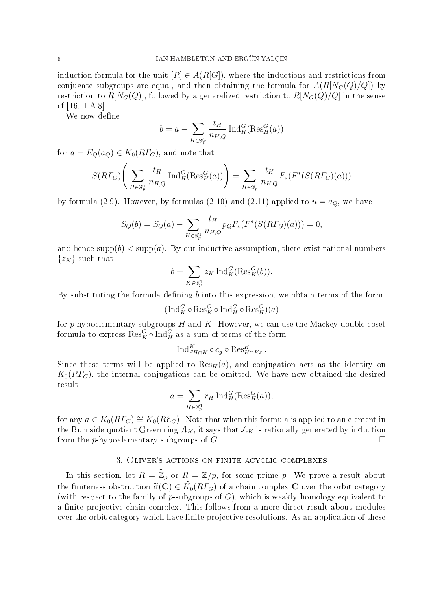induction formula for the unit  $[R] \in A(R[G])$ , where the inductions and restrictions from conjugate subgroups are equal, and then obtaining the formula for  $A(R[N_G(Q)/Q])$  by restriction to  $R[N_G(Q)]$ , followed by a generalized restriction to  $R[N_G(Q)/Q]$  in the sense of [16, 1.A.8].

We now define

$$
b = a - \sum_{H \in \mathcal{G}_p^1} \frac{t_H}{n_{H,Q}} \operatorname{Ind}_H^G(\operatorname{Res}_H^G(a))
$$

for  $a = E_Q(a_Q) \in K_0(R\Gamma_G)$ , and note that

$$
S(R\Gamma_G)\Bigg(\sum_{H\in\mathscr{G}_p^1}\frac{t_H}{n_{H,Q}}\operatorname{Ind}_H^G(\operatorname{Res}_H^G(a))\Bigg)=\sum_{H\in\mathscr{G}_p^1}\frac{t_H}{n_{H,Q}}F_*(F^*(S(R\Gamma_G)(a)))
$$

by formula (2.9). However, by formulas (2.10) and (2.11) applied to  $u = a_Q$ , we have

$$
S_Q(b) = S_Q(a) - \sum_{H \in \mathscr{G}_p^1} \frac{t_H}{n_{H,Q}} p_Q F_*(F^*(S(R\Gamma_G)(a))) = 0,
$$

and hence supp $(b)$  < supp $(a)$ . By our inductive assumption, there exist rational numbers  $\{z_K\}$  such that  $\overline{\phantom{a}}$ 

$$
b = \sum_{K \in \mathscr{G}_p^1} z_K \operatorname{Ind}_K^G(\operatorname{Res}_K^G(b)).
$$

By substituting the formula defining  $b$  into this expression, we obtain terms of the form

$$
(\mathrm{Ind}_K^G \circ \mathrm{Res}^G_K \circ \mathrm{Ind}^G_H \circ \mathrm{Res}^G_H)(a)
$$

for  $p$ -hypoelementary subgroups  $H$  and  $K$ . However, we can use the Mackey double coset formula to express  $\operatorname{Res}^G_K \circ \operatorname{Ind}^G_H$  as a sum of terms of the form

$$
\text{Ind}_{\mathcal{GH}\cap K}^K\circ c_{g}\circ \text{Res}_{H\cap K^g}^H.
$$

Since these terms will be applied to  $\text{Res}_{H}(a)$ , and conjugation acts as the identity on  $K_0(R\Gamma_G)$ , the internal conjugations can be omitted. We have now obtained the desired result  $\overline{\phantom{a}}$ 

$$
a = \sum_{H \in \mathcal{G}_p^1} r_H \operatorname{Ind}_H^G(\operatorname{Res}_H^G(a)),
$$

for any  $a \in K_0(R\Gamma_G) \cong K_0(R\mathcal{E}_G)$ . Note that when this formula is applied to an element in the Burnside quotient Green ring  $A_K$ , it says that  $A_K$  is rationally generated by induction from the p-hypoelementary subgroups of  $G$ .

# 3. Oliver's actions on finite acyclic complexes

In this section, let  $R = \widehat{\mathbb{Z}}_p$  or  $R = \mathbb{Z}/p$ , for some prime p. We prove a result about the finiteness obstruction  $\tilde{\sigma}(\mathbf{C}) \in \tilde{K}_0(R\Gamma_G)$  of a chain complex C over the orbit category (with respect to the family of p-subgroups of  $G$ ), which is weakly homology equivalent to a finite projective chain complex. This follows from a more direct result about modules over the orbit category which have finite projective resolutions. As an application of these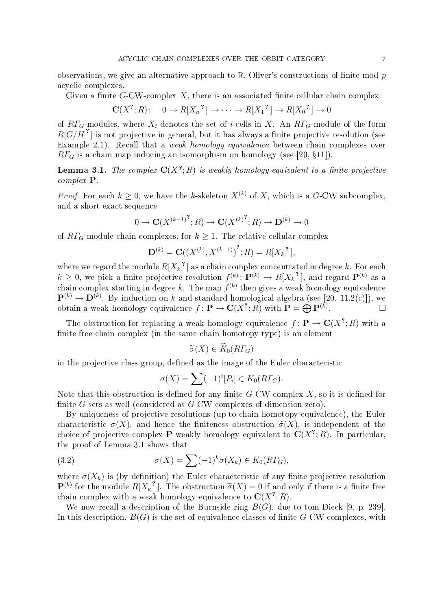observations, we give an alternative approach to R. Oliver's constructions of finite mod- $p$ acyclic complexes.

Given a finite G-CW-complex X, there is an associated finite cellular chain complex

$$
\mathbf{C}(X^?, R): \quad 0 \to R[X_n^{\,2}] \to \cdots \to R[X_1^{\,2}] \to R[X_0^{\,2}] \to 0
$$

of  $R\Gamma_G$ -modules, where  $X_i$  denotes the set of *i*-cells in X. An  $R\Gamma_G$ -module of the form  $R[G/H]$  is not projective in general, but it has always a finite projective resolution (see Example 2.1). Recall that a *weak homology equivalence* between chain complexes over  $R\Gamma_G$  is a chain map inducing an isomorphism on homology (see [20, §11]).

**Lemma 3.1.** The complex  $\mathbf{C}(X^{\ell};R)$  is weakly homology equivalent to a finite projective complex P.

*Proof.* For each  $k \geq 0$ , we have the k-skeleton  $X^{(k)}$  of X, which is a G-CW subcomplex, and a short exact sequence

$$
0 \to \mathbf{C}(X^{(k-1)^2}; R) \to \mathbf{C}(X^{(k)^2}; R) \to \mathbf{D}^{(k)} \to 0
$$

of  $R\Gamma_G$ -module chain complexes, for  $k \geq 1$ . The relative cellular complex

$$
\mathbf{D}^{(k)} = \mathbf{C}((X^{(k)}, X^{(k-1)})^?; R) = R[X_k]^{?},
$$

where we regard the module  $R[X_k]^{\tau}$  as a chain complex concentrated in degree  $k.$  For each  $k \geq 0$ , we pick a finite projective resolution  $f^{(k)} \colon \mathbf{P}^{(k)} \to R[X_k^{\ 2}]$ , and regard  $\mathbf{P}^{(k)}$  as a chain complex starting in degree  $k.$  The map  $f^{(k)}$  then gives a weak homology equivalence  $\mathbf{P}^{(k)} \to \mathbf{D}^{(k)}$ . By induction on k and standard homological algebra (see [20, 11.2(c)]), we  $\mathbf{P}^{(n)} \to \mathbf{D}^{(n)}$ . By mouction on  $\kappa$  and standard nomological algebra (see [.<br>obtain a weak homology equivalence  $f \colon \mathbf{P} \to \mathbf{C}(X^?; R)$  with  $\mathbf{P} = \bigoplus \mathbf{P}^{(k)}$ .  $\Box$ 

The obstruction for replacing a weak homology equivalence  $f: \mathbf{P} \to \mathbf{C}(X^?; R)$  with a finite free chain complex (in the same chain homotopy type) is an element

$$
\widetilde{\sigma}(X) \in \widetilde{K}_0(R\Gamma_G)
$$

in the projective class group, defined as the image of the Euler characteristic

$$
\sigma(X) = \sum (-1)^i [P_i] \in K_0(R\Gamma_G).
$$

Note that this obstruction is defined for any finite  $G$ -CW complex  $X$ , so it is defined for finite G-sets as well (considered as G-CW complexes of dimension zero).

By uniqueness of projective resolutions (up to chain homotopy equivalence), the Euler characteristic  $\sigma(X)$ , and hence the finiteness obstruction  $\tilde{\sigma}(X)$ , is independent of the choice of projective complex **P** weakly homology equivalent to  $C(X^?; R)$ . In particular, the proof of Lemma 3.1 shows that

(3.2) 
$$
\sigma(X) = \sum (-1)^k \sigma(X_k) \in K_0(R\Gamma_G),
$$

where  $\sigma(X_k)$  is (by definition) the Euler characteristic of any finite projective resolution  $\mathbf{P}^{(k)}$  for the module  $R[X_k]^2$  . The obstruction  $\widetilde{\sigma}(X)=0$  if and only if there is a finite free chain complex with a weak homology equivalence to  $\mathbf{C}(X^?;R).$ 

We now recall a description of the Burnside ring  $B(G)$ , due to tom Dieck [9, p. 239]. In this description,  $B(G)$  is the set of equivalence classes of finite G-CW complexes, with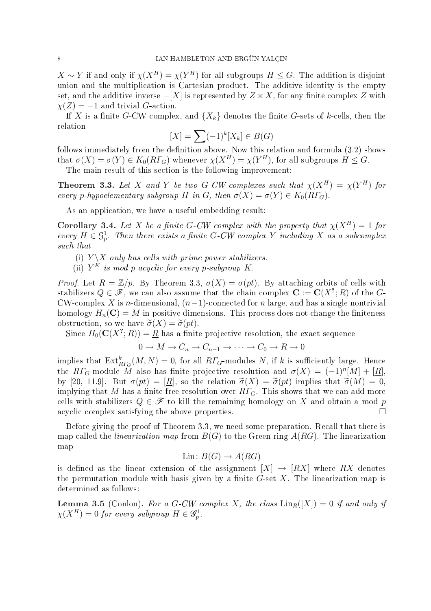$X \sim Y$  if and only if  $\chi(X^H) = \chi(Y^H)$  for all subgroups  $H \leq G$ . The addition is disjoint union and the multiplication is Cartesian product. The additive identity is the empty set, and the additive inverse  $-[X]$  is represented by  $Z \times X$ , for any finite complex Z with  $\chi(Z) = -1$  and trivial G-action.

If X is a finite G-CW complex, and  $\{X_k\}$  denotes the finite G-sets of k-cells, then the relation

$$
[X] = \sum (-1)^k [X_k] \in B(G)
$$

follows immediately from the definition above. Now this relation and formula  $(3.2)$  shows that  $\sigma(X) = \sigma(Y) \in K_0(R\Gamma_G)$  whenever  $\chi(X^H) = \chi(Y^H)$ , for all subgroups  $H \leq G$ .

The main result of this section is the following improvement:

**Theorem 3.3.** Let X and Y be two G-CW-complexes such that  $\chi(X^H) = \chi(Y^H)$  for every p-hypoelementary subgroup H in G, then  $\sigma(X) = \sigma(Y) \in K_0(R\Gamma_G)$ .

As an application, we have a useful embedding result:

Corollary 3.4. Let X be a finite G-CW complex with the property that  $\chi(X^H) = 1$  for every  $H \in \mathcal{G}_p^1$ . Then there exists a finite G-CW complex Y including X as a subcomplex such that

(i)  $Y \backslash X$  only has cells with prime power stabilizers.

(ii)  $Y^K$  is mod p acyclic for every p-subgroup K.

Proof. Let  $R = \mathbb{Z}/p$ . By Theorem 3.3,  $\sigma(X) = \sigma(pt)$ . By attaching orbits of cells with stabilizers  $Q \in \mathscr{F}$ , we can also assume that the chain complex  $\mathbf{C} := \mathbf{C}(X^?; R)$  of the  $G$ -CW-complex X is n-dimensional,  $(n-1)$ -connected for n large, and has a single nontrivial homology  $H_n(\mathbf{C}) = M$  in positive dimensions. This process does not change the finiteness obstruction, so we have  $\widetilde{\sigma}(X) = \widetilde{\sigma}(pt)$ .

Since  $H_0(\mathbf{C}(X^?;R)) = \underline{R}$  has a finite projective resolution, the exact sequence

$$
0 \to M \to C_n \to C_{n-1} \to \cdots \to C_0 \to \underline{R} \to 0
$$

implies that  $\operatorname{Ext}^k_{R\varGamma_G}(M,N)=0,$  for all  $R\varGamma_G\text{-modules }N,$  if  $k$  is sufficiently large. Hence the RT<sub>G</sub>-module  $\tilde{M}$  also has finite projective resolution and  $\sigma(X) = (-1)^n[M] + [\underline{R}],$ by [20, 11.9]. But  $\sigma(pt) = [R]$ , so the relation  $\tilde{\sigma}(X) = \tilde{\sigma}(pt)$  implies that  $\tilde{\sigma}(M) = 0$ , implying that M has a finite free resolution over  $R\Gamma_G$ . This shows that we can add more cells with stabilizers  $Q \in \mathscr{F}$  to kill the remaining homology on X and obtain a mod p acyclic complex satisfying the above properties.  $\Box$ 

Before giving the proof of Theorem 3.3, we need some preparation. Recall that there is map called the *linearization map* from  $B(G)$  to the Green ring  $A(RG)$ . The linearization map

$$
Lin: B(G) \to A(RG)
$$

is defined as the linear extension of the assignment  $[X] \to [RX]$  where RX denotes the permutation module with basis given by a finite  $G$ -set X. The linearization map is determined as follows:

**Lemma 3.5** (Conlon). For a G-CW complex X, the class  $\text{Lin}_R([X]) = 0$  if and only if  $\chi(X^H) = 0$  for every subgroup  $H \in \mathscr{G}_p^1$ .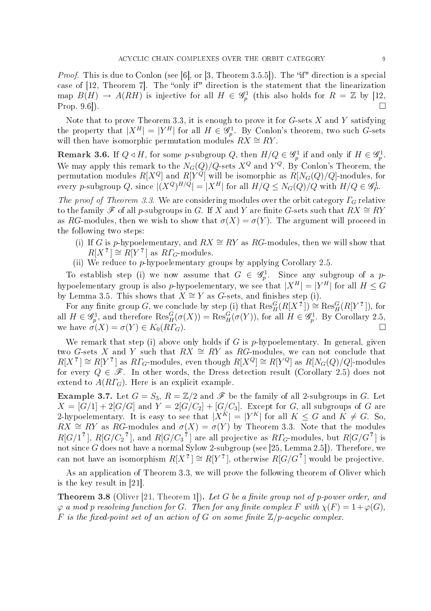*Proof.* This is due to Conlon (see [6], or [3, Theorem 3.5.5]). The "if" direction is a special case of  $[12,$  Theorem 7. The "only if" direction is the statement that the linearization map  $B(H) \to A(RH)$  is injective for all  $H \in \mathscr{G}_p^1$  (this also holds for  $R = \mathbb{Z}$  by [12, Prop. 9.6]).  $\square$ 

Note that to prove Theorem 3.3, it is enough to prove it for  $G$ -sets X and Y satisfying the property that  $|X^H| = |Y^H|$  for all  $H \in \mathscr{G}_p^1$ . By Conlon's theorem, two such G-sets will then have isomorphic permutation modules  $RX \cong \mathbb{R}Y$ .

**Remark 3.6.** If  $Q \triangleleft H$ , for some p-subgroup  $Q$ , then  $H/Q \in \mathscr{G}_p^1$  if and only if  $H \in \mathscr{G}_p^1$ . We may apply this remark to the  $N_G(Q)/Q$ -sets  $X^Q$  and  $Y^Q$ . By Conlon's Theorem, the permutation modules  $R[X^Q]$  and  $R[Y^Q]$  will be isomorphic as  $R[N_G(Q)/Q]$ -modules, for every *p*-subgroup Q, since  $|(X^Q)^{H/Q}| = |X^H|$  for all  $H/Q \le N_G(Q)/Q$  with  $H/Q \in \mathscr{G}_P^1$ .

The proof of Theorem 3.3. We are considering modules over the orbit category  $\Gamma_G$  relative to the family  $\mathscr F$  of all p-subgroups in G. If X and Y are finite G-sets such that  $RX \cong RY$ as RG-modules, then we wish to show that  $\sigma(X) = \sigma(Y)$ . The argument will proceed in the following two steps:

- (i) If G is p-hypoelementary, and  $RX \cong RY$  as RG-modules, then we will show that  $R[X^2] \cong R[Y^2]$  as  $R\Gamma_G$ -modules.
- (ii) We reduce to  $p$ -hypoelementary groups by applying Corollary 2.5.

To establish step (i) we now assume that  $G \in \mathscr{G}_p^1$ . Since any subgroup of a phypoelementary group is also p-hypoelementary, we see that  $|X^H|=|Y^H|$  for all  $H\leq G$ by Lemma 3.5. This shows that  $X \cong Y$  as G-sets, and finishes step (i).

For any finite group G, we conclude by step (i) that  $\mathrm{Res}^G_H(R[X^2]) \cong \mathrm{Res}^G_H(R[Y^2])$ , for all  $H \in \mathscr{G}_p^1$ , and therefore  $\text{Res}^G_H(\sigma(X)) = \text{Res}^G_H(\sigma(Y))$ , for all  $H \in \mathscr{G}_p^1$ . By Corollary 2.5, we have  $\sigma(X) = \sigma(Y) \in K_0(R\Gamma_G)$ .

We remark that step (i) above only holds if G is p-hypoelementary. In general, given two G-sets X and Y such that  $RX \cong RY$  as RG-modules, we can not conclude that  $R[X^2] \cong R[Y^2]$  as  $R\Gamma_G$ -modules, even though  $R[X^Q] \cong R[Y^Q]$  as  $R[N_G(Q)/Q]$ -modules for every  $Q \in \mathscr{F}$ . In other words, the Dress detection result (Corollary 2.5) does not extend to  $A(R\Gamma_G)$ . Here is an explicit example.

**Example 3.7.** Let  $G = S_3$ ,  $R = \mathbb{Z}/2$  and  $\mathcal F$  be the family of all 2-subgroups in G. Let  $X = [G/1] + 2[G/G]$  and  $Y = 2[G/C_2] + [G/C_3]$ . Except for G, all subgroups of G are 2-hypoelementary. It is easy to see that  $|X^K| = |Y^K|$  for all  $K \leq G$  and  $K \neq G$ . So,  $RX \cong RY$  as RG-modules and  $\sigma(X) = \sigma(Y)$  by Theorem 3.3. Note that the modules  $R[G/1^2]$ ,  $R[G/C_2^2]$ , and  $R[G/C_3^2]$  are all projective as  $R\Gamma_G$ -modules, but  $R[G/G^2]$  is not since  $G$  does not have a normal Sylow 2-subgroup (see [25, Lemma 2.5]). Therefore, we can not have an isomorphism  $R[X^r] \cong R[Y^r]$ , otherwise  $R[G/G^r]$  would be projective.

As an application of Theorem 3.3, we will prove the following theorem of Oliver which is the key result in [21].

**Theorem 3.8** (Oliver [21, Theorem 1]). Let G be a finite group not of p-power order, and  $\varphi$  a mod p resolving function for G. Then for any finite complex F with  $\chi(F) = 1 + \varphi(G)$ , F is the fixed-point set of an action of G on some finite  $\mathbb{Z}/p$ -acyclic complex.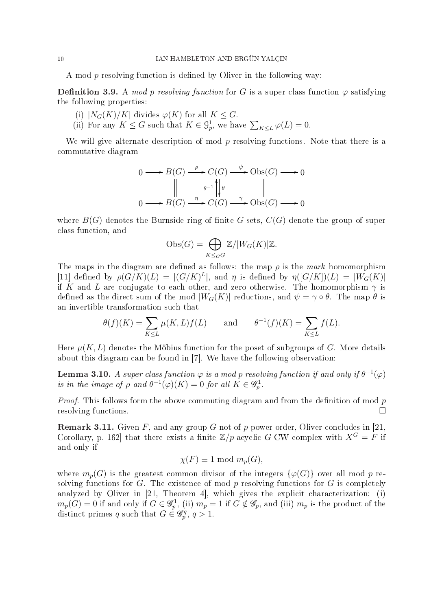A mod  $p$  resolving function is defined by Oliver in the following way:

**Definition 3.9.** A mod p resolving function for G is a super class function  $\varphi$  satisfying the following properties:

- (i)  $|N_G(K)/K|$  divides  $\varphi(K)$  for all  $K \leq G$ .
- (i)  $|N_G(K)/K|$  divides  $\varphi(K)$  for all  $K \leq G$ .<br>(ii) For any  $K \leq G$  such that  $K \in \mathcal{G}_p^1$ , we have  $\sum_{K \leq L} \varphi(L) = 0$ .

We will give alternate description of mod  $p$  resolving functions. Note that there is a commutative diagram

$$
0 \longrightarrow B(G) \xrightarrow{\rho} C(G) \xrightarrow{\psi} \text{Obs}(G) \longrightarrow 0
$$
  

$$
\parallel \qquad \qquad \theta^{-1} \parallel \theta \qquad \qquad \parallel
$$
  

$$
0 \longrightarrow B(G) \xrightarrow{\eta} C(G) \xrightarrow{\gamma} \text{Obs}(G) \longrightarrow 0
$$

where  $B(G)$  denotes the Burnside ring of finite G-sets,  $C(G)$  denote the group of super class function, and

$$
Obs(G) = \bigoplus_{K \leq_G G} \mathbb{Z}/|W_G(K)|\mathbb{Z}.
$$

The maps in the diagram are defined as follows: the map  $\rho$  is the mark homomorphism [11] defined by  $\rho(G/K)(L) = |(G/K)^L|$ , and  $\eta$  is defined by  $\eta([G/K])(L) = |W_G(K)|$ if K and L are conjugate to each other, and zero otherwise. The homomorphism  $\gamma$  is defined as the direct sum of the mod  $|W_G(K)|$  reductions, and  $\psi = \gamma \circ \theta$ . The map  $\theta$  is an invertible transformation such that

$$
\theta(f)(K) = \sum_{K \le L} \mu(K, L) f(L) \quad \text{and} \quad \theta^{-1}(f)(K) = \sum_{K \le L} f(L).
$$

Here  $\mu(K, L)$  denotes the Möbius function for the poset of subgroups of G. More details about this diagram can be found in [7]. We have the following observation:

**Lemma 3.10.** A super class function  $\varphi$  is a mod p resolving function if and only if  $\theta^{-1}(\varphi)$ is in the image of  $\rho$  and  $\theta^{-1}(\varphi)(K) = 0$  for all  $K \in \mathscr{G}_{p}^1$ .

*Proof.* This follows form the above commuting diagram and from the definition of mod  $p$ resolving functions.

**Remark 3.11.** Given F, and any group G not of p-power order, Oliver concludes in [21, Corollary, p. 162] that there exists a finite  $\mathbb{Z}/p$ -acyclic G-CW complex with  $X^G = F$  if and only if

$$
\chi(F) \equiv 1 \text{ mod } m_p(G),
$$

where  $m_p(G)$  is the greatest common divisor of the integers  $\{\varphi(G)\}\$  over all mod p resolving functions for G. The existence of mod  $p$  resolving functions for  $G$  is completely analyzed by Oliver in [21, Theorem 4], which gives the explicit characterization: (i)  $m_p(G) = 0$  if and only if  $G \in \mathscr{G}_p^1$ , (ii)  $m_p = 1$  if  $G \notin \mathscr{G}_p$ , and (iii)  $m_p$  is the product of the distinct primes q such that  $G \in \mathscr{G}_p^q$ ,  $q > 1$ .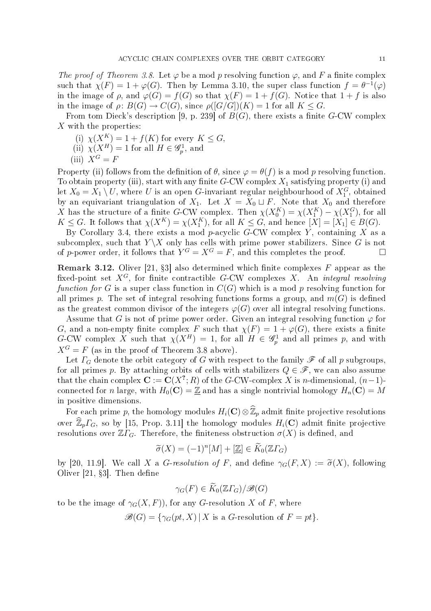The proof of Theorem 3.8. Let  $\varphi$  be a mod p resolving function  $\varphi$ , and F a finite complex such that  $\chi(F) = 1 + \varphi(G)$ . Then by Lemma 3.10, the super class function  $f = \theta^{-1}(\varphi)$ in the image of  $\rho$ , and  $\varphi(G) = f(G)$  so that  $\chi(F) = 1 + f(G)$ . Notice that  $1 + f$  is also in the image of  $\rho: B(G) \to C(G)$ , since  $\rho([G/G])(K) = 1$  for all  $K \leq G$ .

From tom Dieck's description [9, p. 239] of  $B(G)$ , there exists a finite G-CW complex X with the properties:

- (i)  $\chi(X^K) = 1 + f(K)$  for every  $K \leq G$ ,
- (ii)  $\chi(X^H) = 1$  for all  $H \in \mathscr{G}_p^1$ , and
- (iii)  $X^G = F$

Property (ii) follows from the definition of  $\theta$ , since  $\varphi = \theta(f)$  is a mod p resolving function. To obtain property (iii), start with any finite  $G$ -CW complex  $X_1$  satisfying property (i) and let  $X_0 = X_1 \setminus U$ , where  $U$  is an open  $G$ -invariant regular neighbourhood of  $X_1^G$ , obtained by an equivariant triangulation of  $X_1$ . Let  $X = X_0 \sqcup F$ . Note that  $X_0$  and therefore X has the structure of a finite G-CW complex. Then  $\chi(X_0^K) = \chi(X_1^K) - \chi(X_1^G)$ , for all  $K \leq G$ . It follows that  $\chi(X^K) = \chi(X^K_1)$ , for all  $K \leq G$ , and hence  $[X] = [X_1] \in B(G)$ .

By Corollary 3.4, there exists a mod p-acyclic  $G$ -CW complex Y, containing X as a subcomplex, such that  $Y \backslash X$  only has cells with prime power stabilizers. Since G is not of p-power order, it follows that  $Y^G = X^G = F$ , and this completes the proof.

**Remark 3.12.** Oliver [21, §3] also determined which finite complexes  $F$  appear as the fixed-point set  $X^G$ , for finite contractible G-CW complexes X. An *integral resolving* function for G is a super class function in  $C(G)$  which is a mod p resolving function for all primes p. The set of integral resolving functions forms a group, and  $m(G)$  is defined as the greatest common divisor of the integers  $\varphi(G)$  over all integral resolving functions.

Assume that G is not of prime power order. Given an integral resolving function  $\varphi$  for G, and a non-empty finite complex F such that  $\chi(F) = 1 + \varphi(G)$ , there exists a finite G-CW complex X such that  $\chi(X^H) = 1$ , for all  $H \in \mathscr{G}_p^1$  and all primes p, and with  $X^G = F$  (as in the proof of Theorem 3.8 above).

Let  $\Gamma_G$  denote the orbit category of G with respect to the family  $\mathscr F$  of all p subgroups, for all primes p. By attaching orbits of cells with stabilizers  $Q \in \mathscr{F}$ , we can also assume that the chain complex  $\mathbf{C} := \mathbf{C}(X^?; R)$  of the G-CW-complex X is n-dimensional,  $(n-1)$ connected for n large, with  $H_0(\mathbf{C}) = \mathbb{Z}$  and has a single nontrivial homology  $H_n(\mathbf{C}) = M$ in positive dimensions.

For each prime p, the homology modules  $H_i(\mathbf{C}) \otimes \widehat{\mathbb{Z}}_p$  admit finite projective resolutions over  $\widehat{\mathbb{Z}}_p\Gamma_G$ , so by [15, Prop. 3.11] the homology modules  $H_i(\mathbf{C})$  admit finite projective resolutions over  $\mathbb{Z}\Gamma_G$ . Therefore, the finiteness obstruction  $\sigma(X)$  is defined, and

$$
\widetilde{\sigma}(X) = (-1)^n [M] + [\underline{\mathbb{Z}}] \in \widetilde{K}_0(\mathbb{Z}\Gamma_G)
$$

by [20, 11.9]. We call X a G-resolution of F, and define  $\gamma_G(F, X) := \tilde{\sigma}(X)$ , following Oliver  $[21, §3]$ . Then define

$$
\gamma_G(F) \in \widetilde{K}_0(\mathbb{Z}\Gamma_G)/\mathcal{B}(G)
$$

to be the image of  $\gamma_G(X, F)$ , for any G-resolution X of F, where

 $\mathscr{B}(G) = {\gamma_G(pt, X) | X \text{ is a } G\text{-resolution of } F = pt}.$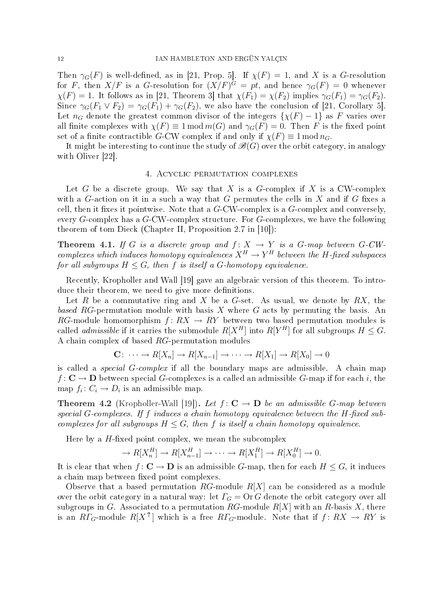Then  $\gamma_G(F)$  is well-defined, as in [21, Prop. 5]. If  $\chi(F) = 1$ , and X is a G-resolution for F, then  $X/F$  is a G-resolution for  $(X/F)^G = pt$ , and hence  $\gamma_G(F) = 0$  whenever  $\chi(F) = 1$ . It follows as in [21, Theorem 3] that  $\chi(F_1) = \chi(F_2)$  implies  $\gamma_G(F_1) = \gamma_G(F_2)$ . Since  $\gamma_G(F_1 \vee F_2) = \gamma_G(F_1) + \gamma_G(F_2)$ , we also have the conclusion of [21, Corollary 5]. Let  $n_G$  denote the greatest common divisor of the integers  $\{\chi(F) - 1\}$  as F varies over all finite complexes with  $\chi(F) \equiv 1 \mod m(G)$  and  $\gamma_G(F) = 0$ . Then F is the fixed point set of a finite contractible G-CW complex if and only if  $\chi(F) \equiv 1 \mod n_G$ .

It might be interesting to continue the study of  $\mathcal{B}(G)$  over the orbit category, in analogy with Oliver [22].

### 4. Acyclic permutation complexes

Let G be a discrete group. We say that X is a G-complex if X is a CW-complex with a G-action on it in a such a way that G permutes the cells in  $X$  and if G fixes a cell, then it fixes it pointwise. Note that a  $G$ -CW-complex is a  $G$ -complex and conversely, every  $G$ -complex has a  $G$ -CW-complex structure. For  $G$ -complexes, we have the following theorem of tom Dieck (Chapter II, Proposition 2.7 in [10]):

**Theorem 4.1.** If G is a discrete group and  $f: X \rightarrow Y$  is a G-map between G-CWcomplexes which induces homotopy equivalences  $X^H \to Y^H$  between the H-fixed subspaces for all subgroups  $H \leq G$ , then f is itself a G-homotopy equivalence.

Recently, Kropholler and Wall [19] gave an algebraic version of this theorem. To introduce their theorem, we need to give more definitions.

Let R be a commutative ring and X be a G-set. As usual, we denote by  $RX$ , the based RG-permutation module with basis X where G acts by permuting the basis. An RG-module homomorphism  $f: RX \rightarrow RY$  between two based permutation modules is called *admissible* if it carries the submodule  $R[X^H]$  into  $R[Y^H]$  for all subgroups  $H \leq G$ . A chain complex of based RG-permutation modules

$$
\mathbf{C} \colon \cdots \to R[X_n] \to R[X_{n-1}] \to \cdots \to R[X_1] \to R[X_0] \to 0
$$

is called a *special G-complex* if all the boundary maps are admissible. A chain map f:  $C \rightarrow D$  between special G-complexes is a called an admissible G-map if for each i, the map  $f_i: C_i \to D_i$  is an admissible map.

**Theorem 4.2** (Kropholler-Wall [19]). Let  $f: \mathbb{C} \to \mathbb{D}$  be an admissible G-map between special G-complexes. If f induces a chain homotopy equivalence between the  $H$ -fixed subcomplexes for all subgroups  $H \leq G$ , then f is itself a chain homotopy equivalence.

Here by a  $H$ -fixed point complex, we mean the subcomplex

$$
\to R[X_n^H] \to R[X_{n-1}^H] \to \cdots \to R[X_1^H] \to R[X_0^H] \to 0.
$$

It is clear that when  $f: \mathbf{C} \to \mathbf{D}$  is an admissible G-map, then for each  $H \leq G$ , it induces a chain map between fixed point complexes.

Observe that a based permutation RG-module  $R[X]$  can be considered as a module over the orbit category in a natural way: let  $\Gamma_G = \text{Or } G$  denote the orbit category over all subgroups in G. Associated to a permutation RG-module  $R[X]$  with an R-basis X, there is an  $R\varGamma_G\text{-module }R[X^{\text{-}r}]$  which is a free  $R\varGamma_G\text{-module.}$  Note that if  $f\colon RX\to RY$  is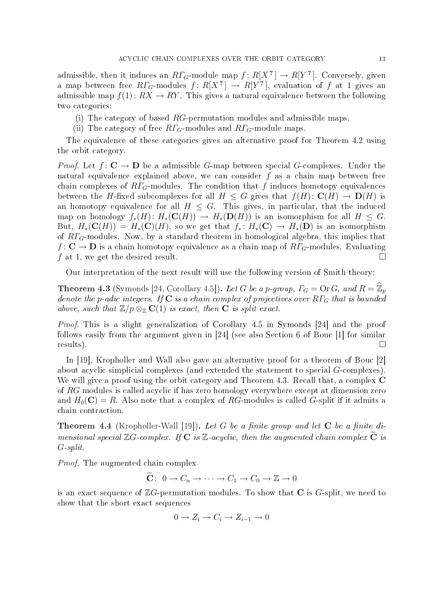admissible, then it induces an  $R\varGamma_G\text{-module map }f\colon R[X^{\,2}\,]\to R[Y^{\,2}\,]\,.$  Conversely, given a map between free  $R\varGamma_G\text{-modules }f\colon R[X^{\,2}\,]\,\to\, R[Y^{\,2}],$  evaluation of  $f$  at  $1$  gives an admissible map  $f(1): RX \to RY$ . This gives a natural equivalence between the following two categories:

- (i) The category of based RG-permutation modules and admissible maps.
- (ii) The category of free  $R\Gamma_G$ -modules and  $R\Gamma_G$ -module maps.

The equivalence of these categories gives an alternative proof for Theorem 4.2 using the orbit category.

*Proof.* Let  $f: \mathbf{C} \to \mathbf{D}$  be a admissible G-map between special G-complexes. Under the natural equivalence explained above, we can consider  $f$  as a chain map between free chain complexes of  $RT_G$ -modules. The condition that f induces homotopy equivalences between the H-fixed subcomplexes for all  $H \leq G$  gives that  $f(H) \colon \mathbf{C}(H) \to \mathbf{D}(H)$  is an homotopy equivalence for all  $H \leq G$ . This gives, in particular, that the induced map on homology  $f_*(H): H_*(\mathbf{C}(H)) \to H_*(\mathbf{D}(H))$  is an isomorphism for all  $H \leq G$ . But,  $H_*(\mathbf{C}(H)) = H_*(\mathbf{C})(H)$ , so we get that  $f_* : H_*(\mathbf{C}) \to H_*(\mathbf{D})$  is an isomorphism of  $R\Gamma$ <sub>G</sub>-modules. Now, by a standard theorem in homological algebra, this implies that  $f: \mathbf{C} \to \mathbf{D}$  is a chain homotopy equivalence as a chain map of  $R\Gamma_G$ -modules. Evaluating f at 1, we get the desired result.  $\Box$ 

Our interpretation of the next result will use the following version of Smith theory:

**Theorem 4.3** (Symonds [24, Corollary 4.5]). Let G be a p-group,  $\Gamma_G = \text{Or } G$ , and  $R = \mathbb{Z}_p$ denote the p-adic integers. If  $C$  is a chain complex of projectives over  $R\Gamma_G$  that is bounded above, such that  $\mathbb{Z}/p \otimes_{\mathbb{Z}} C(1)$  is exact, then **C** is split exact.

Proof. This is a slight generalization of Corollary 4.5 in Symonds [24] and the proof follows easily from the argument given in [24] (see also Section 6 of Bouc [1] for similar  ${\sf results)}.$ 

In [19], Kropholler and Wall also gave an alternative proof for a theorem of Bouc [2] about acyclic simplicial complexes (and extended the statement to special G-complexes). We will give a proof using the orbit category and Theorem 4.3. Recall that, a complex C of RG modules is called acyclic if has zero homology everywhere except at dimension zero and  $H_0(\mathbf{C}) = R$ . Also note that a complex of RG-modules is called G-split if it admits a chain contraction.

**Theorem 4.4** (Kropholler-Wall [19]). Let G be a finite group and let  $C$  be a finite dimensional special  $\mathbb{Z}G$ -complex. If  $C$  is  $\mathbb{Z}$ -acyclic, then the augmented chain complex  $\widetilde{C}$  is G-split.

Proof. The augmented chain complex

$$
\widetilde{\mathbf{C}}: \ 0 \to C_n \to \cdots \to C_1 \to C_0 \to \mathbb{Z} \to 0
$$

is an exact sequence of  $\mathbb{Z}G$ -permutation modules. To show that **C** is G-split, we need to show that the short exact sequences

$$
0 \to Z_i \to C_i \to Z_{i-1} \to 0
$$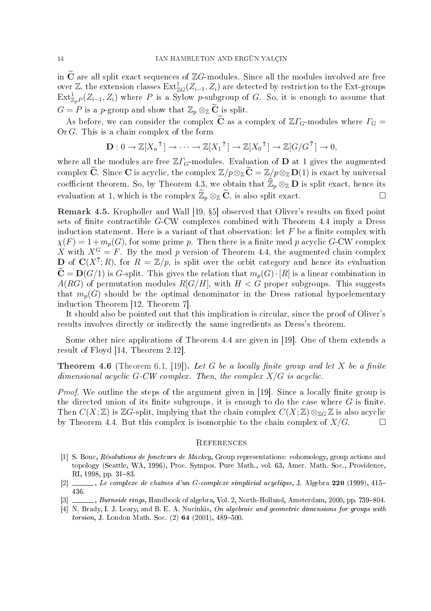in  $\tilde{C}$  are all split exact sequences of  $\mathbb{Z}G$ -modules. Since all the modules involved are free over Z, the extension classes  $\mathrm{Ext}^1_{\mathbb{Z} G}(Z_{i-1}, Z_i)$  are detected by restriction to the Ext-groups  $\text{Ext}^1_{\mathbb{Z}_pP}(Z_{i-1},Z_i)$  where P is a Sylow p-subgroup of G. So, it is enough to assume that  $G = P$  is a p-group and show that  $\mathbb{Z}_p \otimes_{\mathbb{Z}} \widetilde{\mathbf{C}}$  is split.

As before, we can consider the complex  $\tilde{C}$  as a complex of  $\mathbb{Z}\Gamma_G$ -modules where  $\Gamma_G =$ Or G. This is a chain complex of the form

$$
\mathbf{D}: 0 \to \mathbb{Z}[X_n^{\,2}] \to \cdots \to \mathbb{Z}[X_1^{\,2}] \to \mathbb{Z}[X_0^{\,2}] \to \mathbb{Z}[G/G^{\,2}] \to 0,
$$

where all the modules are free  $\mathbb{Z}\Gamma_G$ -modules. Evaluation of **D** at 1 gives the augmented complex  $\widetilde{C}$ . Since C is acyclic, the complex  $\mathbb{Z}/p\otimes_{\mathbb{Z}}\widetilde{C}=\mathbb{Z}/p\otimes_{\mathbb{Z}}D(1)$  is exact by universal coefficient theorem. So, by Theorem 4.3, we obtain that  $\hat{\mathbb{Z}}_p \otimes_{\mathbb{Z}} \mathbb{D}$  is split exact, hence its evaluation at 1, which is the complex  $\widehat{\mathbb{Z}}_p \otimes_{\mathbb{Z}} \widetilde{\mathbf{C}}$ , is also split exact.

Remark 4.5. Kropholler and Wall [19, §5] observed that Oliver's results on fixed point sets of finite contractible  $G$ -CW complexes combined with Theorem 4.4 imply a Dress induction statement. Here is a variant of that observation: let  $F$  be a finite complex with  $\chi(F) = 1 + m_p(G)$ , for some prime p. Then there is a finite mod p acyclic G-CW complex X with  $X^G = F$ . By the mod p version of Theorem 4.4, the augmented chain complex **D** of  $\mathbf{C}(X^?; R)$ , for  $R = \mathbb{Z}/p$ , is split over the orbit category and hence its evaluation  $\widetilde{\mathbf{C}} = \mathbf{D}(G/1)$  is G-split. This gives the relation that  $m_n(G) \cdot [R]$  is a linear combination in  $A(RG)$  of permutation modules  $R[G/H]$ , with  $H < G$  proper subgroups. This suggests that  $m_p(G)$  should be the optimal denominator in the Dress rational hypoelementary induction Theorem [12, Theorem 7].

It should also be pointed out that this implication is circular, since the proof of Oliver's results involves directly or indirectly the same ingredients as Dress's theorem.

Some other nice applications of Theorem 4.4 are given in [19]. One of them extends a result of Floyd [14, Theorem 2.12].

**Theorem 4.6** (Theorem 6.1, [19]). Let G be a locally finite group and let X be a finite dimensional acyclic  $G$ -CW complex. Then, the complex  $X/G$  is acyclic.

*Proof.* We outline the steps of the argument given in [19]. Since a locally finite group is the directed union of its finite subgroups, it is enough to do the case where  $G$  is finite. Then  $C(X;\mathbb{Z})$  is  $\mathbb{Z}G$ -split, implying that the chain complex  $C(X;\mathbb{Z})\otimes_{\mathbb{Z}G}\mathbb{Z}$  is also acyclic by Theorem 4.4. But this complex is isomorphic to the chain complex of  $X/G$ .

#### **REFERENCES**

- [1] S. Bouc, Résolutions de foncteurs de Mackey, Group representations: cohomology, group actions and topology (Seattle, WA, 1996), Proc. Sympos. Pure Math., vol. 63, Amer. Math. Soc., Providence, RI, 1998, pp. 31-83.
- $[2]$  , Le complexe de chaînes d'un G-complexe simplicial acyclique, J. Algebra 220 (1999), 415– 436.
- [3] , Burnside rings, Handbook of algebra, Vol. 2, North-Holland, Amsterdam, 2000, pp. 739-804.
- [4] N. Brady, I. J. Leary, and B. E. A. Nucinkis, On algebraic and geometric dimensions for groups with torsion, J. London Math. Soc.  $(2)$  64  $(2001)$ , 489-500.